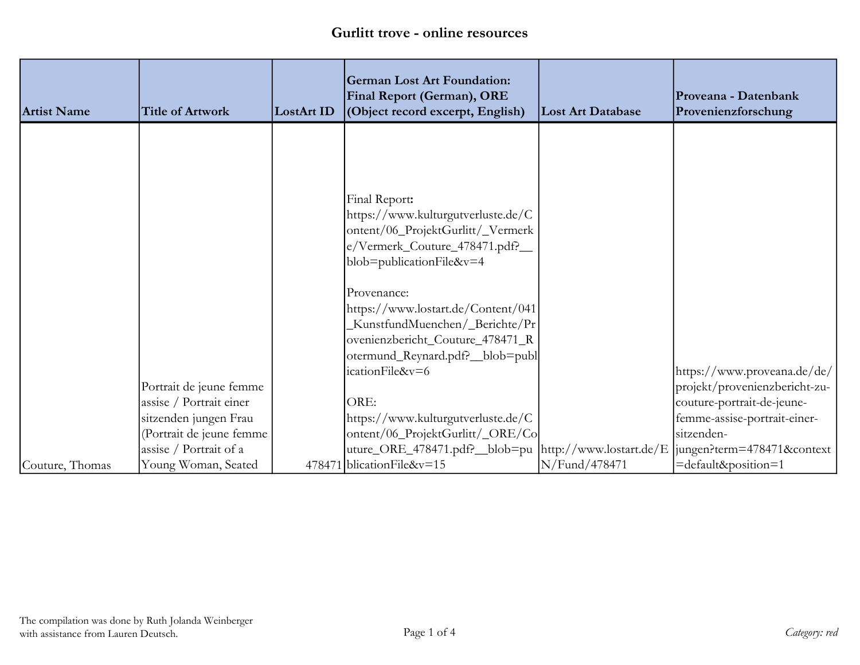| <b>Artist Name</b> | <b>Title of Artwork</b>  | LostArt ID | <b>German Lost Art Foundation:</b><br>Final Report (German), ORE<br>(Object record excerpt, English) | <b>Lost Art Database</b> | Proveana - Datenbank<br>Provenienzforschung |
|--------------------|--------------------------|------------|------------------------------------------------------------------------------------------------------|--------------------------|---------------------------------------------|
|                    |                          |            |                                                                                                      |                          |                                             |
|                    |                          |            |                                                                                                      |                          |                                             |
|                    |                          |            |                                                                                                      |                          |                                             |
|                    |                          |            | Final Report:                                                                                        |                          |                                             |
|                    |                          |            | https://www.kulturgutverluste.de/C<br>ontent/06_ProjektGurlitt/_Vermerk                              |                          |                                             |
|                    |                          |            | e/Vermerk_Couture_478471.pdf?__                                                                      |                          |                                             |
|                    |                          |            | blob=publicationFile&v=4                                                                             |                          |                                             |
|                    |                          |            | Provenance:                                                                                          |                          |                                             |
|                    |                          |            | https://www.lostart.de/Content/041                                                                   |                          |                                             |
|                    |                          |            | KunstfundMuenchen/_Berichte/Pr                                                                       |                          |                                             |
|                    |                          |            | ovenienzbericht_Couture_478471_R                                                                     |                          |                                             |
|                    |                          |            | otermund_Reynard.pdf?_blob=publ<br>icationFile&v=6                                                   |                          | https://www.proveana.de/de/                 |
|                    | Portrait de jeune femme  |            |                                                                                                      |                          | projekt/provenienzbericht-zu-               |
|                    | assise / Portrait einer  |            | ORE:                                                                                                 |                          | couture-portrait-de-jeune-                  |
|                    | sitzenden jungen Frau    |            | https://www.kulturgutverluste.de/C                                                                   |                          | femme-assise-portrait-einer-                |
|                    | (Portrait de jeune femme |            | ontent/06_ProjektGurlitt/_ORE/Co                                                                     |                          | sitzenden-                                  |
|                    | assise / Portrait of a   |            | uture_ORE_478471.pdf?__blob=pu  http://www.lostart.de/E  jungen?term=478471&context                  |                          |                                             |
| Couture, Thomas    | Young Woman, Seated      |            | 478471 blication File&v=15                                                                           | N/Fund/478471            | =default&position=1                         |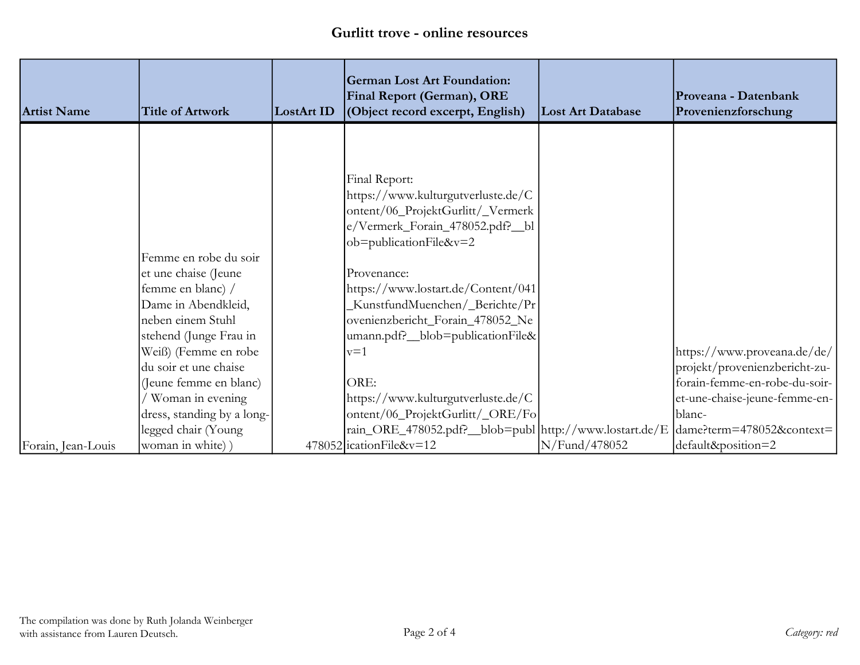| <b>Artist Name</b> | <b>Title of Artwork</b>    | LostArt ID | <b>German Lost Art Foundation:</b><br>Final Report (German), ORE<br>(Object record excerpt, English) | <b>Lost Art Database</b> | Proveana - Datenbank<br>Provenienzforschung |
|--------------------|----------------------------|------------|------------------------------------------------------------------------------------------------------|--------------------------|---------------------------------------------|
|                    |                            |            |                                                                                                      |                          |                                             |
|                    |                            |            |                                                                                                      |                          |                                             |
|                    |                            |            | Final Report:                                                                                        |                          |                                             |
|                    |                            |            | https://www.kulturgutverluste.de/C                                                                   |                          |                                             |
|                    |                            |            | ontent/06_ProjektGurlitt/_Vermerk                                                                    |                          |                                             |
|                    |                            |            | e/Vermerk_Forain_478052.pdf?_bl                                                                      |                          |                                             |
|                    |                            |            | ob=publicationFile&v=2                                                                               |                          |                                             |
|                    | Femme en robe du soir      |            |                                                                                                      |                          |                                             |
|                    | et une chaise (Jeune       |            | Provenance:                                                                                          |                          |                                             |
|                    | femme en blanc) /          |            | https://www.lostart.de/Content/041                                                                   |                          |                                             |
|                    | Dame in Abendkleid,        |            | KunstfundMuenchen/_Berichte/Pr                                                                       |                          |                                             |
|                    | neben einem Stuhl          |            | ovenienzbericht_Forain_478052_Ne                                                                     |                          |                                             |
|                    | stehend (Junge Frau in     |            | umann.pdf?_blob=publicationFile&                                                                     |                          |                                             |
|                    | Weiß) (Femme en robe       |            | $v=1$                                                                                                |                          | https://www.proveana.de/de/                 |
|                    | du soir et une chaise      |            |                                                                                                      |                          | projekt/provenienzbericht-zu-               |
|                    | (Jeune femme en blanc)     |            | ORE:                                                                                                 |                          | forain-femme-en-robe-du-soir-               |
|                    | Woman in evening           |            | https://www.kulturgutverluste.de/C                                                                   |                          | et-une-chaise-jeune-femme-en-               |
|                    | dress, standing by a long- |            | ontent/06_ProjektGurlitt/_ORE/Fo                                                                     |                          | blanc-                                      |
|                    | legged chair (Young        |            | rain_ORE_478052.pdf?_blob=publ  http://www.lostart.de/E                                              |                          | dame?term=478052&context=                   |
| Forain, Jean-Louis | woman in white) )          |            | $478052$ ication File&v=12                                                                           | N/Fund/478052            | default&position=2                          |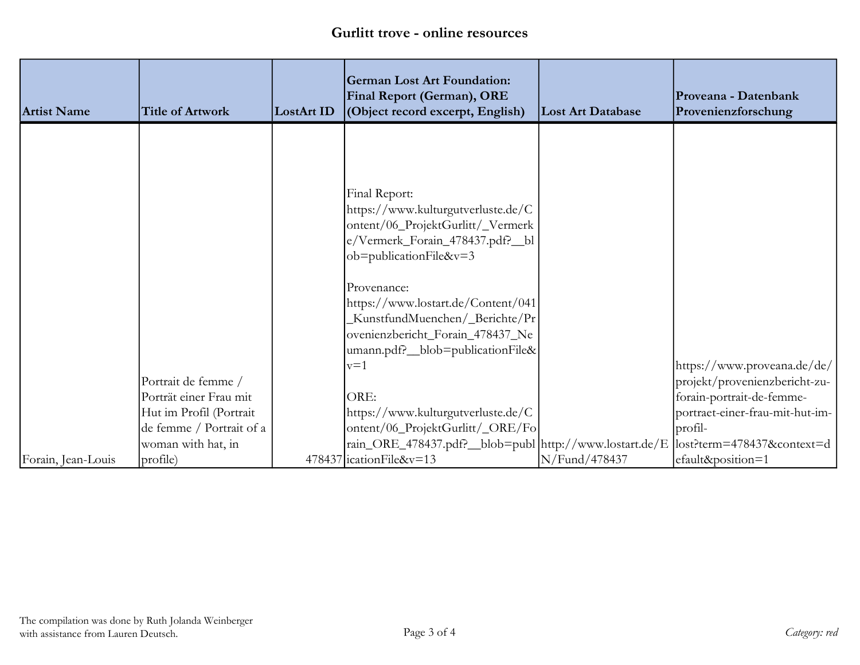| <b>Artist Name</b> | <b>Title of Artwork</b>  | LostArt ID | <b>German Lost Art Foundation:</b><br><b>Final Report (German), ORE</b><br>(Object record excerpt, English) | <b>Lost Art Database</b> | Proveana - Datenbank<br>Provenienzforschung |
|--------------------|--------------------------|------------|-------------------------------------------------------------------------------------------------------------|--------------------------|---------------------------------------------|
|                    |                          |            |                                                                                                             |                          |                                             |
|                    |                          |            |                                                                                                             |                          |                                             |
|                    |                          |            | Final Report:                                                                                               |                          |                                             |
|                    |                          |            | https://www.kulturgutverluste.de/C                                                                          |                          |                                             |
|                    |                          |            | ontent/06_ProjektGurlitt/_Vermerk                                                                           |                          |                                             |
|                    |                          |            | e/Vermerk_Forain_478437.pdf?_bl                                                                             |                          |                                             |
|                    |                          |            | ob=publicationFile&v=3                                                                                      |                          |                                             |
|                    |                          |            | Provenance:                                                                                                 |                          |                                             |
|                    |                          |            | https://www.lostart.de/Content/041                                                                          |                          |                                             |
|                    |                          |            | KunstfundMuenchen/_Berichte/Pr                                                                              |                          |                                             |
|                    |                          |            | ovenienzbericht_Forain_478437_Ne<br>umann.pdf?_blob=publicationFile&                                        |                          |                                             |
|                    |                          |            | $v=1$                                                                                                       |                          | https://www.proveana.de/de/                 |
|                    | Portrait de femme /      |            |                                                                                                             |                          | projekt/provenienzbericht-zu-               |
|                    | Porträt einer Frau mit   |            | ORE:                                                                                                        |                          | forain-portrait-de-femme-                   |
|                    | Hut im Profil (Portrait  |            | https://www.kulturgutverluste.de/C                                                                          |                          | portraet-einer-frau-mit-hut-im-             |
|                    | de femme / Portrait of a |            | ontent/06_ProjektGurlitt/_ORE/Fo                                                                            |                          | profil-                                     |
|                    | woman with hat, in       |            | rain_ORE_478437.pdf?__blob=publ  http://www.lostart.de/E                                                    |                          | $ $ lost?term=478437&context=d              |
| Forain, Jean-Louis | profile)                 |            | 478437 ication File&v=13                                                                                    | N/Fund/478437            | efault&position=1                           |